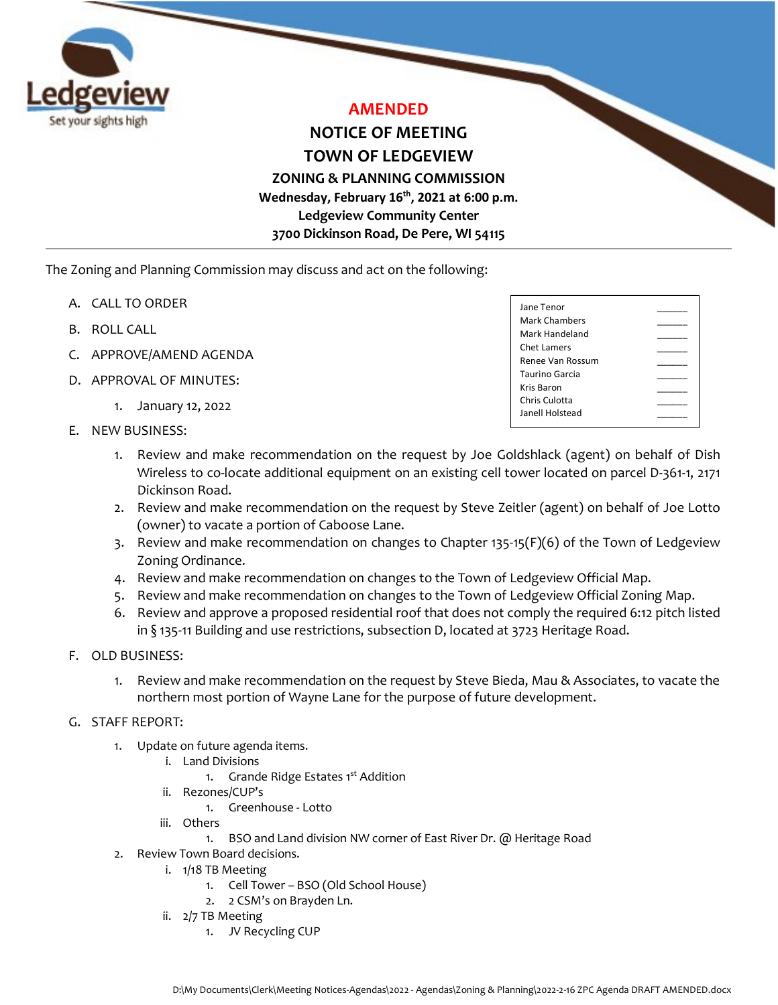

# **AMENDED**

**NOTICE OF MEETING TOWN OF LEDGEVIEW**

**ZONING & PLANNING COMMISSION Wednesday, February 16th, 2021 at 6:00 p.m. Ledgeview Community Center 3700 Dickinson Road, De Pere, WI 54115**

The Zoning and Planning Commission may discuss and act on the following:

- A. CALL TO ORDER
- B. ROLL CALL
- C. APPROVE/AMEND AGENDA
- D. APPROVAL OF MINUTES:
	- 1. January 12, 2022
- E. NEW BUSINESS:

| Jane Tenor            |  |
|-----------------------|--|
| <b>Mark Chambers</b>  |  |
| Mark Handeland        |  |
| Chet Lamers           |  |
| Renee Van Rossum      |  |
| <b>Taurino Garcia</b> |  |
| Kris Baron            |  |
| Chris Culotta         |  |
| Janell Holstead       |  |
|                       |  |

- 1. Review and make recommendation on the request by Joe Goldshlack (agent) on behalf of Dish Wireless to co-locate additional equipment on an existing cell tower located on parcel D-361-1, 2171 Dickinson Road.
- 2. Review and make recommendation on the request by Steve Zeitler (agent) on behalf of Joe Lotto (owner) to vacate a portion of Caboose Lane.
- 3. Review and make recommendation on changes to Chapter 135-15(F)(6) of the Town of Ledgeview Zoning Ordinance.
- 4. Review and make recommendation on changes to the Town of Ledgeview Official Map.
- 5. Review and make recommendation on changes to the Town of Ledgeview Official Zoning Map.
- 6. Review and approve a proposed residential roof that does not comply the required 6:12 pitch listed in § 135-11 Building and use restrictions, subsection D, located at 3723 Heritage Road.

## F. OLD BUSINESS:

1. Review and make recommendation on the request by Steve Bieda, Mau & Associates, to vacate the northern most portion of Wayne Lane for the purpose of future development.

## G. STAFF REPORT:

- 1. Update on future agenda items.
	- i. Land Divisions
		- 1. Grande Ridge Estates 1<sup>st</sup> Addition
	- ii. Rezones/CUP's
		- 1. Greenhouse Lotto
	- iii. Others
		- 1. BSO and Land division NW corner of East River Dr. @ Heritage Road
- 2. Review Town Board decisions.
	- i. 1/18 TB Meeting
		- 1. Cell Tower BSO (Old School House)
		- 2. 2 CSM's on Brayden Ln.
	- ii. 2/7 TB Meeting
		- 1. JV Recycling CUP